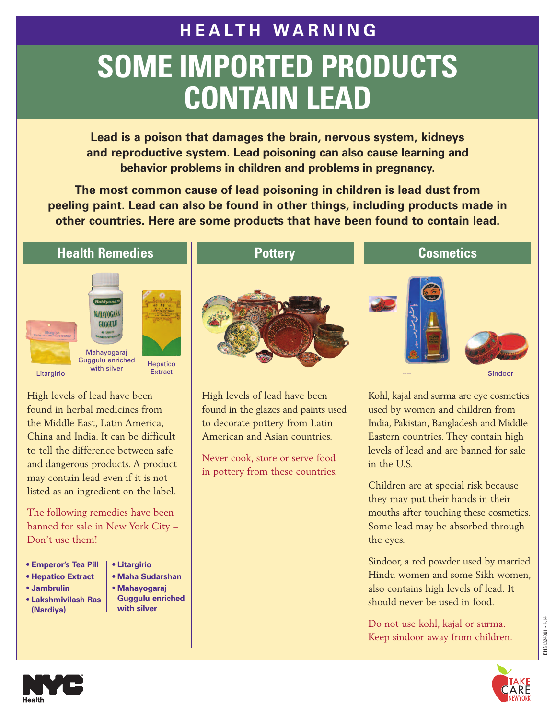# **H E A LT H W A R N I N G SOME IMPORTED PRODUCTS CONTAIN LEAD**

**Lead is a poison that damages the brain, nervous system, kidneys and reproductive system. Lead poisoning can also cause learning and behavior problems in children and problems in pregnancy.**

**The most common cause of lead poisoning in children is lead dust from peeling paint. Lead can also be found in other things, including products made in other countries. Here are some products that have been found to contain lead.**

#### **Health Remedies**





ygulu enfictied Hepatico **Extract** 

High levels of lead have been found in herbal medicines from the Middle East, Latin America, China and India. It can be difficult to tell the difference between safe and dangerous products. A product may contain lead even if it is not listed as an ingredient on the label.

The following remedies have been banned for sale in New York City – Don't use them!

- **• Emperor's Tea Pill**
- **• Hepatico Extract**
- **• Jambrulin**
- **• Lakshmivilash Ras (Nardiya)**
- **• Litargirio**
	- **• Maha Sudarshan**
	- **• Mahayogaraj Guggulu enriched with silver**

**Pottery**



High levels of lead have been found in the glazes and paints used to decorate pottery from Latin American and Asian countries.

Never cook, store or serve food in pottery from these countries.

#### **Cosmetics**





Sindoor

Kohl, kajal and surma are eye cosmetics used by women and children from India, Pakistan, Bangladesh and Middle Eastern countries. They contain high levels of lead and are banned for sale in the U.S.

Children are at special risk because they may put their hands in their mouths after touching these cosmetics. Some lead may be absorbed through the eyes.

Sindoor, a red powder used by married Hindu women and some Sikh women, also contains high levels of lead. It should never be used in food.

Do not use kohl, kajal or surma. Keep sindoor away from children.



EHS1324061 - 4.14

EHS1324061 - 4.14